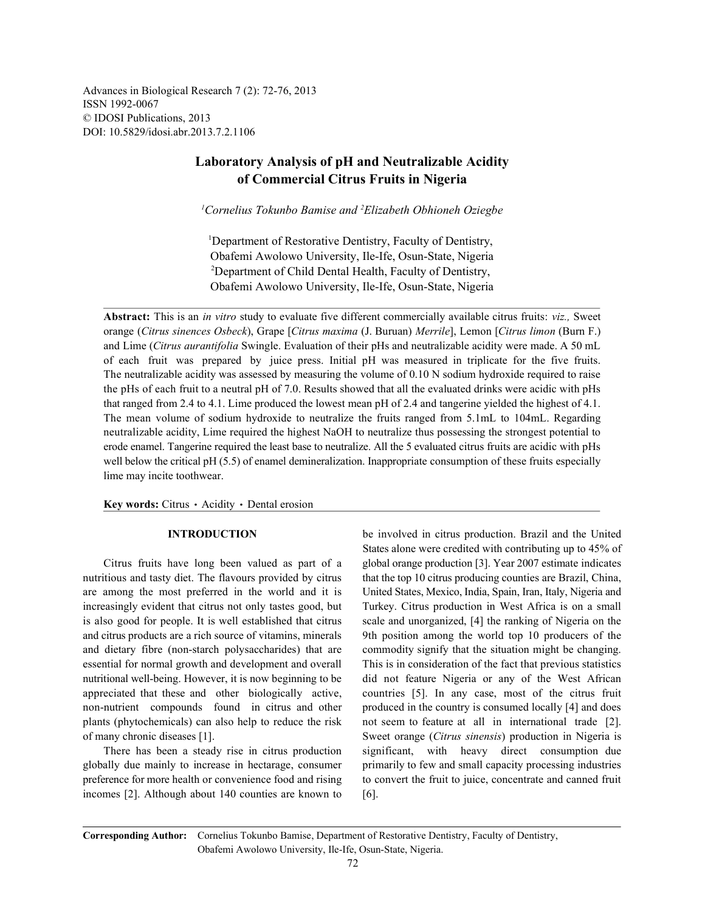Advances in Biological Research 7 (2): 72-76, 2013 ISSN 1992-0067 © IDOSI Publications, 2013 DOI: 10.5829/idosi.abr.2013.7.2.1106

# **Laboratory Analysis of pH and Neutralizable Acidity of Commercial Citrus Fruits in Nigeria**

<sup>1</sup> Cornelius Tokunbo Bamise and <sup>2</sup> Elizabeth Obhioneh Oziegbe

<sup>1</sup>Department of Restorative Dentistry, Faculty of Dentistry, Obafemi Awolowo University, Ile-Ife, Osun-State, Nigeria <sup>2</sup>Department of Child Dental Health, Faculty of Dentistry, Obafemi Awolowo University, Ile-Ife, Osun-State, Nigeria

**Abstract:** This is an *in vitro* study to evaluate five different commercially available citrus fruits: *viz.,* Sweet orange (*Citrus sinences Osbeck*), Grape [*Citrus maxima* (J. Buruan) *Merrile*], Lemon [*Citrus limon* (Burn F.) and Lime (*Citrus aurantifolia* Swingle. Evaluation of their pHs and neutralizable acidity were made. A 50 mL of each fruit was prepared by juice press. Initial pH was measured in triplicate for the five fruits. The neutralizable acidity was assessed by measuring the volume of 0.10 N sodium hydroxide required to raise the pHs of each fruit to a neutral pH of 7.0. Results showed that all the evaluated drinks were acidic with pHs that ranged from 2.4 to 4.1. Lime produced the lowest mean pH of 2.4 and tangerine yielded the highest of 4.1. The mean volume of sodium hydroxide to neutralize the fruits ranged from 5.1mL to 104mL. Regarding neutralizable acidity, Lime required the highest NaOH to neutralize thus possessing the strongest potential to erode enamel. Tangerine required the least base to neutralize. All the 5 evaluated citrus fruits are acidic with pHs well below the critical pH (5.5) of enamel demineralization. Inappropriate consumption of these fruits especially lime may incite toothwear.

Key words: Citrus · Acidity · Dental erosion

nutritious and tasty diet. The flavours provided by citrus that the top 10 citrus producing counties are Brazil, China, are among the most preferred in the world and it is United States, Mexico, India, Spain, Iran, Italy, Nigeria and increasingly evident that citrus not only tastes good, but Turkey. Citrus production in West Africa is on a small is also good for people. It is well established that citrus scale and unorganized, [4] the ranking of Nigeria on the and citrus products are a rich source of vitamins, minerals 9th position among the world top 10 producers of the and dietary fibre (non-starch polysaccharides) that are commodity signify that the situation might be changing. essential for normal growth and development and overall This is in consideration of the fact that previous statistics nutritional well-being. However, it is now beginning to be did not feature Nigeria or any of the West African appreciated that these and other biologically active, countries [5]. In any case, most of the citrus fruit non-nutrient compounds found in citrus and other produced in the country is consumed locally [4] and does plants (phytochemicals) can also help to reduce the risk not seem to feature at all in international trade [2]. of many chronic diseases [1]. Sweet orange (*Citrus sinensis*) production in Nigeria is

globally due mainly to increase in hectarage, consumer primarily to few and small capacity processing industries incomes  $[2]$ . Although about 140 counties are known to  $[6]$ .

**INTRODUCTION** be involved in citrus production. Brazil and the United Citrus fruits have long been valued as part of a global orange production [3]. Year 2007 estimate indicates There has been a steady rise in citrus production significant, with heavy direct consumption due preference for more health or convenience food and rising to convert the fruit to juice, concentrate and canned fruit States alone were credited with contributing up to 45% of

**Corresponding Author:** Cornelius Tokunbo Bamise, Department of Restorative Dentistry, Faculty of Dentistry, Obafemi Awolowo University, Ile-Ife, Osun-State, Nigeria.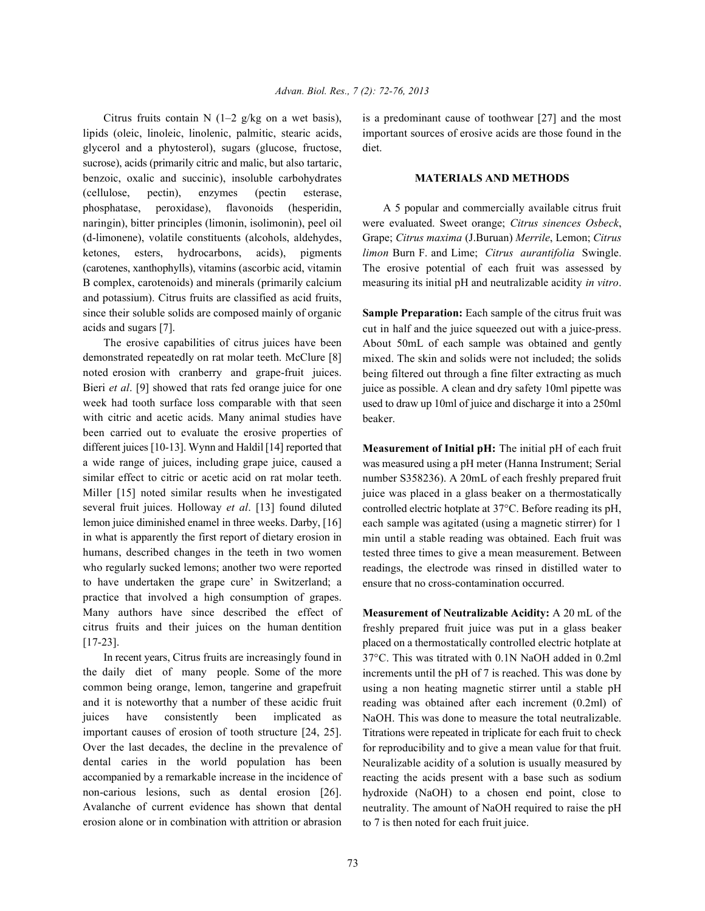lipids (oleic, linoleic, linolenic, palmitic, stearic acids, important sources of erosive acids are those found in the glycerol and a phytosterol), sugars (glucose, fructose, diet. sucrose), acids (primarily citric and malic, but also tartaric, benzoic, oxalic and succinic), insoluble carbohydrates **MATERIALS AND METHODS** (cellulose, pectin), enzymes (pectin esterase, phosphatase, peroxidase), flavonoids (hesperidin, A 5 popular and commercially available citrus fruit naringin), bitter principles (limonin, isolimonin), peel oil were evaluated. Sweet orange; *Citrus sinences Osbeck*, (d-limonene), volatile constituents (alcohols, aldehydes, Grape; *Citrus maxima* (J.Buruan) *Merrile*, Lemon; *Citrus* ketones, esters, hydrocarbons, acids), pigments *limon* Burn F. and Lime; *Citrus aurantifolia* Swingle. (carotenes, xanthophylls), vitamins (ascorbic acid, vitamin The erosive potential of each fruit was assessed by B complex, carotenoids) and minerals (primarily calcium measuring its initial pH and neutralizable acidity *in vitro*. and potassium). Citrus fruits are classified as acid fruits, since their soluble solids are composed mainly of organic **Sample Preparation:** Each sample of the citrus fruit was acids and sugars [7].

The erosive capabilities of citrus juices have been demonstrated repeatedly on rat molar teeth. McClure [8] noted erosion with cranberry and grape-fruit juices. Bieri *et al*. [9] showed that rats fed orange juice for one week had tooth surface loss comparable with that seen with citric and acetic acids. Many animal studies have been carried out to evaluate the erosive properties of different juices [10-13]. Wynn and Haldil [14] reported that a wide range of juices, including grape juice, caused a similar effect to citric or acetic acid on rat molar teeth. Miller [15] noted similar results when he investigated several fruit juices. Holloway *et al*. [13] found diluted lemon juice diminished enamel in three weeks. Darby, [16] in what is apparently the first report of dietary erosion in humans, described changes in the teeth in two women who regularly sucked lemons; another two were reported to have undertaken the grape cure' in Switzerland; a practice that involved a high consumption of grapes. Many authors have since described the effect of citrus fruits and their juices on the human dentition [17-23].

In recent years, Citrus fruits are increasingly found in the daily diet of many people. Some of the more common being orange, lemon, tangerine and grapefruit and it is noteworthy that a number of these acidic fruit juices have consistently been implicated as important causes of erosion of tooth structure [24, 25]. Over the last decades, the decline in the prevalence of dental caries in the world population has been accompanied by a remarkable increase in the incidence of non-carious lesions, such as dental erosion [26]. Avalanche of current evidence has shown that dental erosion alone or in combination with attrition or abrasion

Citrus fruits contain N (1–2 g/kg on a wet basis), is a predominant cause of toothwear [27] and the most

cut in half and the juice squeezed out with a juice-press. About 50mL of each sample was obtained and gently mixed. The skin and solids were not included; the solids being filtered out through a fine filter extracting as much juice as possible. A clean and dry safety 10ml pipette was used to draw up 10ml of juice and discharge it into a 250ml beaker.

**Measurement of Initial pH:** The initial pH of each fruit was measured using a pH meter (Hanna Instrument; Serial number S358236). A 20mL of each freshly prepared fruit juice was placed in a glass beaker on a thermostatically controlled electric hotplate at 37°C. Before reading its pH, each sample was agitated (using a magnetic stirrer) for 1 min until a stable reading was obtained. Each fruit was tested three times to give a mean measurement. Between readings, the electrode was rinsed in distilled water to ensure that no cross-contamination occurred.

**Measurement of Neutralizable Acidity:** A 20 mL of the freshly prepared fruit juice was put in a glass beaker placed on a thermostatically controlled electric hotplate at 37°C. This was titrated with 0.1N NaOH added in 0.2ml increments until the pH of 7 is reached. This was done by using a non heating magnetic stirrer until a stable pH reading was obtained after each increment (0.2ml) of NaOH. This was done to measure the total neutralizable. Titrations were repeated in triplicate for each fruit to check for reproducibility and to give a mean value for that fruit. Neuralizable acidity of a solution is usually measured by reacting the acids present with a base such as sodium hydroxide (NaOH) to a chosen end point, close to neutrality. The amount of NaOH required to raise the pH to 7 is then noted for each fruit juice.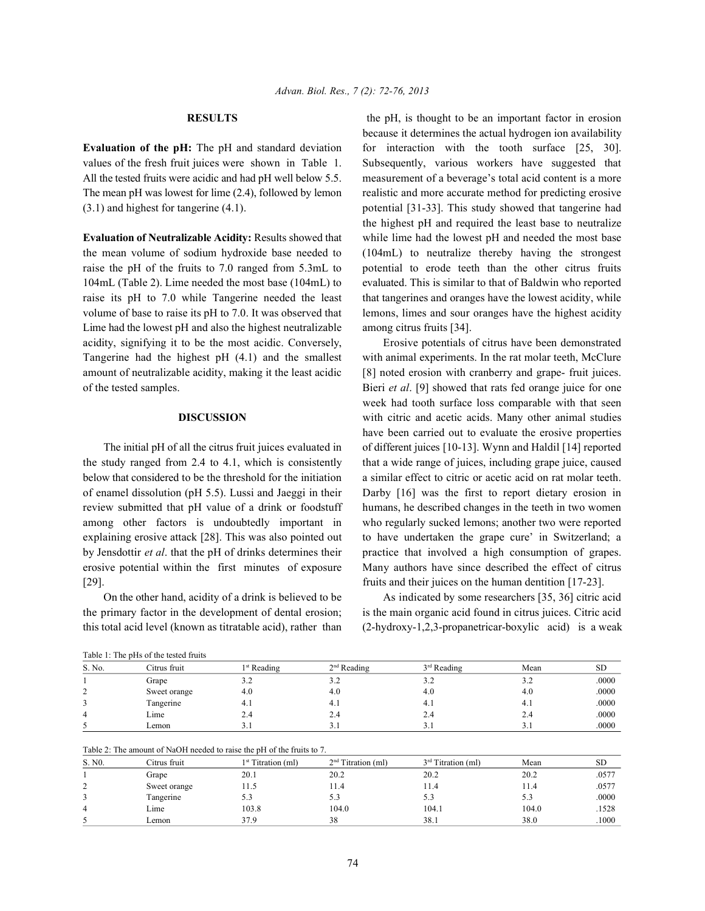Lime had the lowest pH and also the highest neutralizable among citrus fruits [34]. acidity, signifying it to be the most acidic. Conversely, Erosive potentials of citrus have been demonstrated Tangerine had the highest pH (4.1) and the smallest with animal experiments. In the rat molar teeth, McClure amount of neutralizable acidity, making it the least acidic [8] noted erosion with cranberry and grape- fruit juices. of the tested samples. Bieri *et al*. [9] showed that rats fed orange juice for one

the study ranged from 2.4 to 4.1, which is consistently that a wide range of juices, including grape juice, caused below that considered to be the threshold for the initiation a similar effect to citric or acetic acid on rat molar teeth. of enamel dissolution (pH 5.5). Lussi and Jaeggi in their Darby [16] was the first to report dietary erosion in review submitted that pH value of a drink or foodstuff humans, he described changes in the teeth in two women among other factors is undoubtedly important in who regularly sucked lemons; another two were reported explaining erosive attack [28]. This was also pointed out to have undertaken the grape cure' in Switzerland; a by Jensdottir *et al*. that the pH of drinks determines their practice that involved a high consumption of grapes. erosive potential within the first minutes of exposure Many authors have since described the effect of citrus [29]. fruits and their juices on the human dentition [17-23].

the primary factor in the development of dental erosion; is the main organic acid found in citrus juices. Citric acid this total acid level (known as titratable acid), rather than (2-hydroxy-1,2,3-propanetricar-boxylic acid) is a weak

**RESULTS** the pH, is thought to be an important factor in erosion **Evaluation of the pH:** The pH and standard deviation for interaction with the tooth surface [25, 30]. values of the fresh fruit juices were shown in Table 1. Subsequently, various workers have suggested that All the tested fruits were acidic and had pH well below 5.5. measurement of a beverage's total acid content is a more The mean pH was lowest for lime (2.4), followed by lemon realistic and more accurate method for predicting erosive (3.1) and highest for tangerine (4.1). potential [31-33]. This study showed that tangerine had **Evaluation of Neutralizable Acidity:** Results showed that while lime had the lowest pH and needed the most base the mean volume of sodium hydroxide base needed to (104mL) to neutralize thereby having the strongest raise the pH of the fruits to 7.0 ranged from 5.3mL to potential to erode teeth than the other citrus fruits 104mL (Table 2). Lime needed the most base (104mL) to evaluated. This is similar to that of Baldwin who reported raise its pH to 7.0 while Tangerine needed the least that tangerines and oranges have the lowest acidity, while volume of base to raise its pH to 7.0. It was observed that lemons, limes and sour oranges have the highest acidity because it determines the actual hydrogen ion availability the highest pH and required the least base to neutralize

**DISCUSSION** with citric and acetic acids. Many other animal studies The initial pH of all the citrus fruit juices evaluated in of different juices [10-13]. Wynn and Haldil [14] reported week had tooth surface loss comparable with that seen have been carried out to evaluate the erosive properties

On the other hand, acidity of a drink is believed to be As indicated by some researchers [35, 36] citric acid

Table 1: The pHs of the tested fruits

| S. No. | Citrus fruit | 1 <sup>st</sup> Reading | $2nd$ Reading | $3rd$ Reading | Mean | <b>SD</b> |  |  |  |
|--------|--------------|-------------------------|---------------|---------------|------|-----------|--|--|--|
|        | Grape        | ے ۔                     | ے ۔           | 3.2           | ے ۔  | .0000     |  |  |  |
|        | Sweet orange | 4.0                     | 4.0           | 4.0           | 4.0  | .0000     |  |  |  |
|        | Tangerine    | 4.1                     | $-4.1$        | -4.1          |      | .0000     |  |  |  |
| 4      | Lime         | 2.4                     | 2.4           | 2.4           | 2.4  | .0000     |  |  |  |
|        | ∟emon        | <u>.</u>                |               | 3. I          |      | .0000     |  |  |  |

| Table 2: The amount of NaOH needed to raise the pH of the fruits to 7. |  |
|------------------------------------------------------------------------|--|
|------------------------------------------------------------------------|--|

| S. NO. | Citrus fruit | 1 <sup>st</sup> Titration (ml) | 2 <sup>nd</sup> Titration (ml) | $3rd$ Titration (ml) | Mean  | <b>SD</b> |  |  |  |
|--------|--------------|--------------------------------|--------------------------------|----------------------|-------|-----------|--|--|--|
|        | Grape        | 20.1                           | 20.2                           | 20.2                 | 20.2  | .0577     |  |  |  |
| ∸      | Sweet orange | .1.5                           | .1.4                           | 11.4                 | 11.4  | .0577     |  |  |  |
|        | Tangerine    | J.I                            | 5.3                            | 5.3                  | 5.3   | .0000     |  |  |  |
| 4      | Lime         | 103.8                          | 104.0                          | 104.1                | 104.0 | .1528     |  |  |  |
|        | ∟emon        | 37.9                           | 38                             | 38.1                 | 38.0  | .1000     |  |  |  |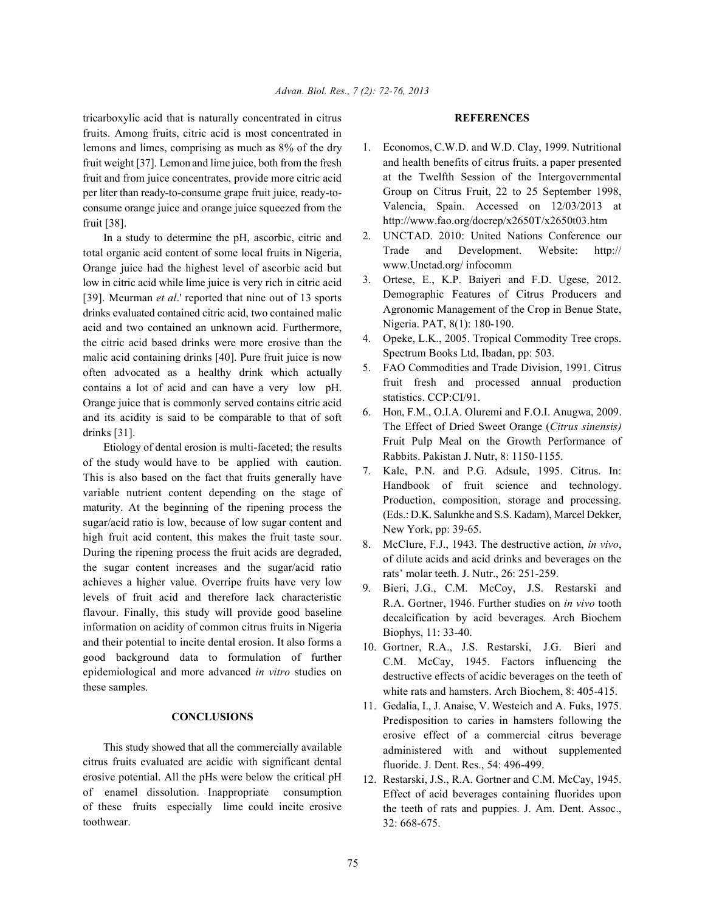tricarboxylic acid that is naturally concentrated in citrus **REFERENCES** fruits. Among fruits, citric acid is most concentrated in lemons and limes, comprising as much as 8% of the dry fruit weight [37]. Lemon and lime juice, both from the fresh fruit and from juice concentrates, provide more citric acid per liter than ready-to-consume grape fruit juice, ready-toconsume orange juice and orange juice squeezed from the fruit [38].

In a study to determine the pH, ascorbic, citric and total organic acid content of some local fruits in Nigeria, Orange juice had the highest level of ascorbic acid but low in citric acid while lime juice is very rich in citric acid [39]. Meurman *et al*.' reported that nine out of 13 sports drinks evaluated contained citric acid, two contained malic acid and two contained an unknown acid. Furthermore, the citric acid based drinks were more erosive than the malic acid containing drinks [40]. Pure fruit juice is now often advocated as a healthy drink which actually contains a lot of acid and can have a very low pH. Orange juice that is commonly served contains citric acid and its acidity is said to be comparable to that of soft drinks [31].

Etiology of dental erosion is multi-faceted; the results of the study would have to be applied with caution. This is also based on the fact that fruits generally have variable nutrient content depending on the stage of maturity. At the beginning of the ripening process the sugar/acid ratio is low, because of low sugar content and high fruit acid content, this makes the fruit taste sour. During the ripening process the fruit acids are degraded, the sugar content increases and the sugar/acid ratio achieves a higher value. Overripe fruits have very low levels of fruit acid and therefore lack characteristic flavour. Finally, this study will provide good baseline information on acidity of common citrus fruits in Nigeria and their potential to incite dental erosion. It also forms a good background data to formulation of further epidemiological and more advanced *in vitro* studies on these samples.

## **CONCLUSIONS**

This study showed that all the commercially available citrus fruits evaluated are acidic with significant dental erosive potential. All the pHs were below the critical pH of enamel dissolution. Inappropriate consumption of these fruits especially lime could incite erosive toothwear.

- 1. Economos, C.W.D. and W.D. Clay, 1999. Nutritional and health benefits of citrus fruits. a paper presented at the Twelfth Session of the Intergovernmental Group on Citrus Fruit, 22 to 25 September 1998, Valencia, Spain. Accessed on 12/03/2013 at http://www.fao.org/docrep/x2650T/x2650t03.htm
- 2. UNCTAD. 2010: United Nations Conference our Trade and Development. Website: http:// www.Unctad.org/ infocomm
- 3. Ortese, E., K.P. Baiyeri and F.D. Ugese, 2012. Demographic Features of Citrus Producers and Agronomic Management of the Crop in Benue State, Nigeria. PAT, 8(1): 180-190.
- 4. Opeke, L.K., 2005. Tropical Commodity Tree crops. Spectrum Books Ltd, Ibadan, pp: 503.
- 5. FAO Commodities and Trade Division, 1991. Citrus fruit fresh and processed annual production statistics. CCP:CI/91.
- 6. Hon, F.M., O.I.A. Oluremi and F.O.I. Anugwa, 2009. The Effect of Dried Sweet Orange (*Citrus sinensis)* Fruit Pulp Meal on the Growth Performance of Rabbits. Pakistan J. Nutr, 8: 1150-1155.
- 7. Kale, P.N. and P.G. Adsule, 1995. Citrus. In: Handbook of fruit science and technology. Production, composition, storage and processing. (Eds.: D.K. Salunkhe and S.S. Kadam), Marcel Dekker, New York, pp: 39-65.
- 8. McClure, F.J., 1943. The destructive action, *in vivo*, of dilute acids and acid drinks and beverages on the rats' molar teeth. J. Nutr., 26: 251-259.
- 9. Bieri, J.G., C.M. McCoy, J.S. Restarski and R.A. Gortner, 1946. Further studies on *in vivo* tooth decalcification by acid beverages. Arch Biochem Biophys, 11: 33-40.
- 10. Gortner, R.A., J.S. Restarski, J.G. Bieri and C.M. McCay, 1945. Factors influencing the destructive effects of acidic beverages on the teeth of white rats and hamsters. Arch Biochem, 8: 405-415.
- 11. Gedalia, I., J. Anaise, V. Westeich and A. Fuks, 1975. Predisposition to caries in hamsters following the erosive effect of a commercial citrus beverage administered with and without supplemented fluoride. J. Dent. Res., 54: 496-499.
- 12. Restarski, J.S., R.A. Gortner and C.M. McCay, 1945. Effect of acid beverages containing fluorides upon the teeth of rats and puppies. J. Am. Dent. Assoc., 32: 668-675.